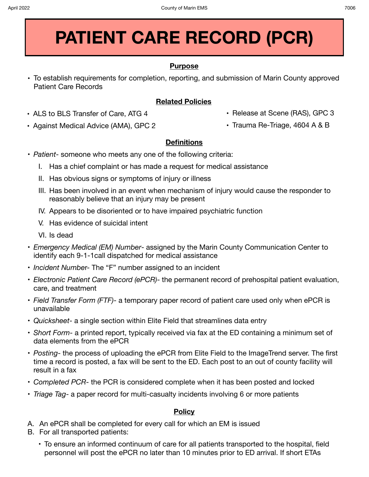# **PATIENT CARE RECORD (PCR)**

## **Purpose**

**•** To establish requirements for completion, reporting, and submission of Marin County approved Patient Care Records

# **Related Policies**

- **•** ALS to BLS Transfer of Care, ATG 4
- **•** Against Medical Advice (AMA), GPC 2
- **•** Release at Scene (RAS), GPC 3
- **•** Trauma Re-Triage, 4604 A & B

# **Definitions**

- *Patient* someone who meets any one of the following criteria:
	- I. Has a chief complaint or has made a request for medical assistance
	- II. Has obvious signs or symptoms of injury or illness
	- III. Has been involved in an event when mechanism of injury would cause the responder to reasonably believe that an injury may be present
	- IV. Appears to be disoriented or to have impaired psychiatric function
	- V. Has evidence of suicidal intent
	- VI. Is dead
- *Emergency Medical (EM) Number* assigned by the Marin County Communication Center to identify each 9-1-1call dispatched for medical assistance
- *Incident Numbe*r- The "F" number assigned to an incident
- *Electronic Patient Care Record (ePCR)* the permanent record of prehospital patient evaluation, care, and treatment
- *Field Transfer Form (FTF)* a temporary paper record of patient care used only when ePCR is unavailable
- *Quicksheet* a single section within Elite Field that streamlines data entry
- *Short Form* a printed report, typically received via fax at the ED containing a minimum set of data elements from the ePCR
- *Posting* the process of uploading the ePCR from Elite Field to the ImageTrend server. The first time a record is posted, a fax will be sent to the ED. Each post to an out of county facility will result in a fax
- *Completed PCR* the PCR is considered complete when it has been posted and locked
- *Triage Tag* a paper record for multi-casualty incidents involving 6 or more patients

### **Policy**

- A. An ePCR shall be completed for every call for which an EM is issued
- B. For all transported patients:
	- To ensure an informed continuum of care for all patients transported to the hospital, field personnel will post the ePCR no later than 10 minutes prior to ED arrival. If short ETAs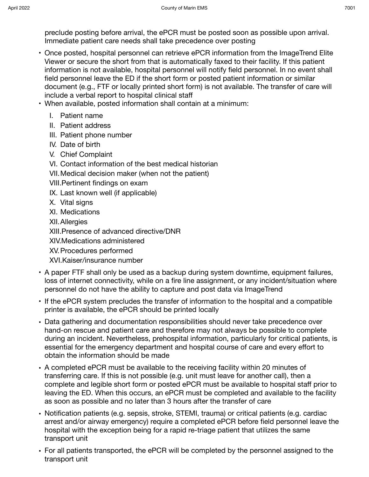preclude posting before arrival, the ePCR must be posted soon as possible upon arrival. Immediate patient care needs shall take precedence over posting

- Once posted, hospital personnel can retrieve ePCR information from the ImageTrend Elite Viewer or secure the short from that is automatically faxed to their facility. If this patient information is not available, hospital personnel will notify field personnel. In no event shall field personnel leave the ED if the short form or posted patient information or similar document (e.g., FTF or locally printed short form) is not available. The transfer of care will include a verbal report to hospital clinical staff
- When available, posted information shall contain at a minimum:
	- I. Patient name
	- II. Patient address
	- III. Patient phone number
	- IV. Date of birth
	- V. Chief Complaint
	- VI. Contact information of the best medical historian
	- VII.Medical decision maker (when not the patient)
	- VIII.Pertinent findings on exam
	- IX. Last known well (if applicable)
	- X. Vital signs
	- XI. Medications
	- XII.Allergies

XIII.Presence of advanced directive/DNR

XIV.Medications administered

- XV.Procedures performed
- XVI.Kaiser/insurance number
- A paper FTF shall only be used as a backup during system downtime, equipment failures, loss of internet connectivity, while on a fire line assignment, or any incident/situation where personnel do not have the ability to capture and post data via ImageTrend
- If the ePCR system precludes the transfer of information to the hospital and a compatible printer is available, the ePCR should be printed locally
- Data gathering and documentation responsibilities should never take precedence over hand-on rescue and patient care and therefore may not always be possible to complete during an incident. Nevertheless, prehospital information, particularly for critical patients, is essential for the emergency department and hospital course of care and every effort to obtain the information should be made
- A completed ePCR must be available to the receiving facility within 20 minutes of transferring care. If this is not possible (e.g. unit must leave for another call), then a complete and legible short form or posted ePCR must be available to hospital staff prior to leaving the ED. When this occurs, an ePCR must be completed and available to the facility as soon as possible and no later than 3 hours after the transfer of care
- Notification patients (e.g. sepsis, stroke, STEMI, trauma) or critical patients (e.g. cardiac arrest and/or airway emergency) require a completed ePCR before field personnel leave the hospital with the exception being for a rapid re-triage patient that utilizes the same transport unit
- For all patients transported, the ePCR will be completed by the personnel assigned to the transport unit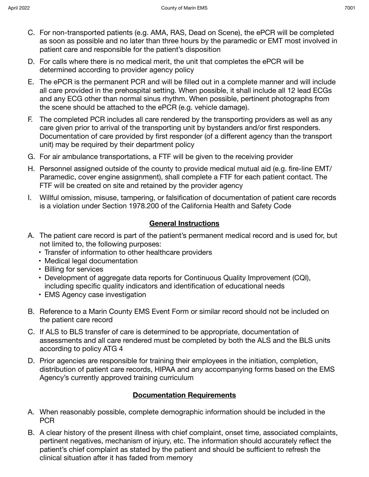- C. For non-transported patients (e.g. AMA, RAS, Dead on Scene), the ePCR will be completed as soon as possible and no later than three hours by the paramedic or EMT most involved in patient care and responsible for the patient's disposition
- D. For calls where there is no medical merit, the unit that completes the ePCR will be determined according to provider agency policy
- E. The ePCR is the permanent PCR and will be filled out in a complete manner and will include all care provided in the prehospital setting. When possible, it shall include all 12 lead ECGs and any ECG other than normal sinus rhythm. When possible, pertinent photographs from the scene should be attached to the ePCR (e.g. vehicle damage).
- F. The completed PCR includes all care rendered by the transporting providers as well as any care given prior to arrival of the transporting unit by bystanders and/or first responders. Documentation of care provided by first responder (of a different agency than the transport unit) may be required by their department policy
- G. For air ambulance transportations, a FTF will be given to the receiving provider
- H. Personnel assigned outside of the county to provide medical mutual aid (e.g. fire-line EMT/ Paramedic, cover engine assignment), shall complete a FTF for each patient contact. The FTF will be created on site and retained by the provider agency
- I. Willful omission, misuse, tampering, or falsification of documentation of patient care records is a violation under Section 1978.200 of the California Health and Safety Code

#### **General Instructions**

- A. The patient care record is part of the patient's permanent medical record and is used for, but not limited to, the following purposes:
	- Transfer of information to other healthcare providers
	- Medical legal documentation
	- Billing for services
	- Development of aggregate data reports for Continuous Quality Improvement (CQI), including specific quality indicators and identification of educational needs
	- EMS Agency case investigation
- B. Reference to a Marin County EMS Event Form or similar record should not be included on the patient care record
- C. If ALS to BLS transfer of care is determined to be appropriate, documentation of assessments and all care rendered must be completed by both the ALS and the BLS units according to policy ATG 4
- D. Prior agencies are responsible for training their employees in the initiation, completion, distribution of patient care records, HIPAA and any accompanying forms based on the EMS Agency's currently approved training curriculum

### **Documentation Requirements**

- A. When reasonably possible, complete demographic information should be included in the PCR
- B. A clear history of the present illness with chief complaint, onset time, associated complaints, pertinent negatives, mechanism of injury, etc. The information should accurately reflect the patient's chief complaint as stated by the patient and should be sufficient to refresh the clinical situation after it has faded from memory